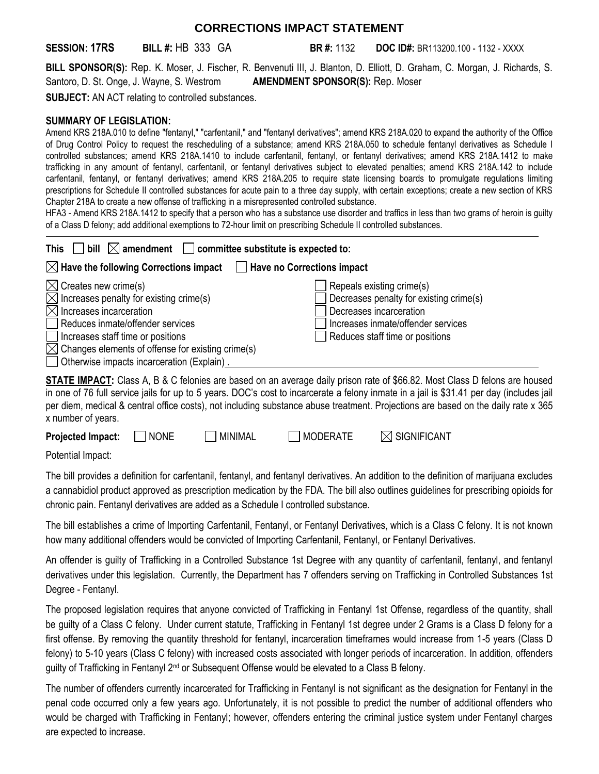## **CORRECTIONS IMPACT STATEMENT**

**SESSION: 17RS BILL #:** HB 333 GA **BR #:** 1132 **DOC ID#:** BR113200.100 - 1132 - XXXX

**BILL SPONSOR(S):** Rep. K. Moser, J. Fischer, R. Benvenuti III, J. Blanton, D. Elliott, D. Graham, C. Morgan, J. Richards, S. Santoro, D. St. Onge, J. Wayne, S. Westrom **AMENDMENT SPONSOR(S):** Rep. Moser

**SUBJECT:** AN ACT relating to controlled substances.

## **SUMMARY OF LEGISLATION:**

Amend KRS 218A.010 to define "fentanyl," "carfentanil," and "fentanyl derivatives"; amend KRS 218A.020 to expand the authority of the Office of Drug Control Policy to request the rescheduling of a substance; amend KRS 218A.050 to schedule fentanyl derivatives as Schedule I controlled substances; amend KRS 218A.1410 to include carfentanil, fentanyl, or fentanyl derivatives; amend KRS 218A.1412 to make trafficking in any amount of fentanyl, carfentanil, or fentanyl derivatives subject to elevated penalties; amend KRS 218A.142 to include carfentanil, fentanyl, or fentanyl derivatives; amend KRS 218A.205 to require state licensing boards to promulgate regulations limiting prescriptions for Schedule II controlled substances for acute pain to a three day supply, with certain exceptions; create a new section of KRS Chapter 218A to create a new offense of trafficking in a misrepresented controlled substance.

HFA3 - Amend KRS 218A.1412 to specify that a person who has a substance use disorder and traffics in less than two grams of heroin is guilty of a Class D felony; add additional exemptions to 72-hour limit on prescribing Schedule II controlled substances.

| $\Box$ bill $\boxtimes$ amendment $\Box$ committee substitute is expected to:<br><b>This</b>                                                                                                                                                                                                                             |                                                                                                                                                                          |  |  |  |
|--------------------------------------------------------------------------------------------------------------------------------------------------------------------------------------------------------------------------------------------------------------------------------------------------------------------------|--------------------------------------------------------------------------------------------------------------------------------------------------------------------------|--|--|--|
| $\boxtimes$ Have the following Corrections impact<br>Have no Corrections impact                                                                                                                                                                                                                                          |                                                                                                                                                                          |  |  |  |
| $\boxtimes$ Creates new crime(s)<br>$\boxtimes$ Increases penalty for existing crime(s)<br>$\boxtimes$ Increases incarceration<br>Reduces inmate/offender services<br>  Increases staff time or positions<br>$\boxtimes$ Changes elements of offense for existing crime(s)<br>Otherwise impacts incarceration (Explain). | Repeals existing crime(s)<br>Decreases penalty for existing crime(s)<br>Decreases incarceration<br>Increases inmate/offender services<br>Reduces staff time or positions |  |  |  |

**STATE IMPACT:** Class A, B & C felonies are based on an average daily prison rate of \$66.82. Most Class D felons are housed in one of 76 full service jails for up to 5 years. DOC's cost to incarcerate a felony inmate in a jail is \$31.41 per day (includes jail per diem, medical & central office costs), not including substance abuse treatment. Projections are based on the daily rate x 365 x number of years.

| <b>Projected Impact:</b> | <b>NONE</b> | MINIMAL | MODERATE | $\boxtimes$ SIGNIFICANT |
|--------------------------|-------------|---------|----------|-------------------------|
|--------------------------|-------------|---------|----------|-------------------------|

Potential Impact:

The bill provides a definition for carfentanil, fentanyl, and fentanyl derivatives. An addition to the definition of marijuana excludes a cannabidiol product approved as prescription medication by the FDA. The bill also outlines guidelines for prescribing opioids for chronic pain. Fentanyl derivatives are added as a Schedule I controlled substance.

The bill establishes a crime of Importing Carfentanil, Fentanyl, or Fentanyl Derivatives, which is a Class C felony. It is not known how many additional offenders would be convicted of Importing Carfentanil, Fentanyl, or Fentanyl Derivatives.

An offender is guilty of Trafficking in a Controlled Substance 1st Degree with any quantity of carfentanil, fentanyl, and fentanyl derivatives under this legislation. Currently, the Department has 7 offenders serving on Trafficking in Controlled Substances 1st Degree - Fentanyl.

The proposed legislation requires that anyone convicted of Trafficking in Fentanyl 1st Offense, regardless of the quantity, shall be guilty of a Class C felony. Under current statute, Trafficking in Fentanyl 1st degree under 2 Grams is a Class D felony for a first offense. By removing the quantity threshold for fentanyl, incarceration timeframes would increase from 1-5 years (Class D felony) to 5-10 years (Class C felony) with increased costs associated with longer periods of incarceration. In addition, offenders quilty of Trafficking in Fentanyl  $2<sup>nd</sup>$  or Subsequent Offense would be elevated to a Class B felony.

The number of offenders currently incarcerated for Trafficking in Fentanyl is not significant as the designation for Fentanyl in the penal code occurred only a few years ago. Unfortunately, it is not possible to predict the number of additional offenders who would be charged with Trafficking in Fentanyl; however, offenders entering the criminal justice system under Fentanyl charges are expected to increase.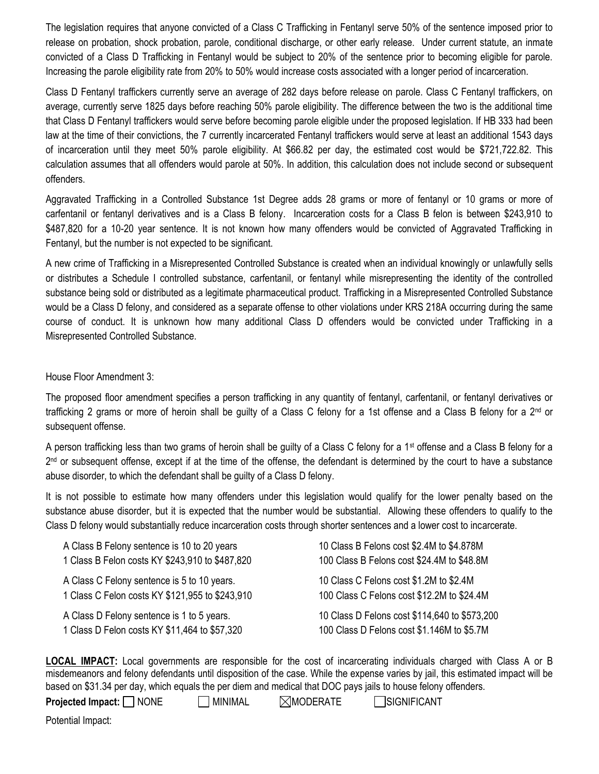The legislation requires that anyone convicted of a Class C Trafficking in Fentanyl serve 50% of the sentence imposed prior to release on probation, shock probation, parole, conditional discharge, or other early release. Under current statute, an inmate convicted of a Class D Trafficking in Fentanyl would be subject to 20% of the sentence prior to becoming eligible for parole. Increasing the parole eligibility rate from 20% to 50% would increase costs associated with a longer period of incarceration.

Class D Fentanyl traffickers currently serve an average of 282 days before release on parole. Class C Fentanyl traffickers, on average, currently serve 1825 days before reaching 50% parole eligibility. The difference between the two is the additional time that Class D Fentanyl traffickers would serve before becoming parole eligible under the proposed legislation. If HB 333 had been law at the time of their convictions, the 7 currently incarcerated Fentanyl traffickers would serve at least an additional 1543 days of incarceration until they meet 50% parole eligibility. At \$66.82 per day, the estimated cost would be \$721,722.82. This calculation assumes that all offenders would parole at 50%. In addition, this calculation does not include second or subsequent offenders.

Aggravated Trafficking in a Controlled Substance 1st Degree adds 28 grams or more of fentanyl or 10 grams or more of carfentanil or fentanyl derivatives and is a Class B felony. Incarceration costs for a Class B felon is between \$243,910 to \$487,820 for a 10-20 year sentence. It is not known how many offenders would be convicted of Aggravated Trafficking in Fentanyl, but the number is not expected to be significant.

A new crime of Trafficking in a Misrepresented Controlled Substance is created when an individual knowingly or unlawfully sells or distributes a Schedule I controlled substance, carfentanil, or fentanyl while misrepresenting the identity of the controlled substance being sold or distributed as a legitimate pharmaceutical product. Trafficking in a Misrepresented Controlled Substance would be a Class D felony, and considered as a separate offense to other violations under KRS 218A occurring during the same course of conduct. It is unknown how many additional Class D offenders would be convicted under Trafficking in a Misrepresented Controlled Substance.

House Floor Amendment 3:

The proposed floor amendment specifies a person trafficking in any quantity of fentanyl, carfentanil, or fentanyl derivatives or trafficking 2 grams or more of heroin shall be guilty of a Class C felony for a 1st offense and a Class B felony for a 2nd or subsequent offense.

A person trafficking less than two grams of heroin shall be guilty of a Class C felony for a 1<sup>st</sup> offense and a Class B felony for a 2<sup>nd</sup> or subsequent offense, except if at the time of the offense, the defendant is determined by the court to have a substance abuse disorder, to which the defendant shall be guilty of a Class D felony.

It is not possible to estimate how many offenders under this legislation would qualify for the lower penalty based on the substance abuse disorder, but it is expected that the number would be substantial. Allowing these offenders to qualify to the Class D felony would substantially reduce incarceration costs through shorter sentences and a lower cost to incarcerate.

| A Class B Felony sentence is 10 to 20 years     | 10 Class B Felons cost \$2.4M to \$4.878M     |
|-------------------------------------------------|-----------------------------------------------|
| 1 Class B Felon costs KY \$243,910 to \$487,820 | 100 Class B Felons cost \$24.4M to \$48.8M    |
| A Class C Felony sentence is 5 to 10 years.     | 10 Class C Felons cost \$1.2M to \$2.4M       |
| 1 Class C Felon costs KY \$121,955 to \$243,910 | 100 Class C Felons cost \$12.2M to \$24.4M    |
| A Class D Felony sentence is 1 to 5 years.      | 10 Class D Felons cost \$114,640 to \$573,200 |
| 1 Class D Felon costs KY \$11,464 to \$57,320   | 100 Class D Felons cost \$1.146M to \$5.7M    |

**LOCAL IMPACT:** Local governments are responsible for the cost of incarcerating individuals charged with Class A or B misdemeanors and felony defendants until disposition of the case. While the expense varies by jail, this estimated impact will be based on \$31.34 per day, which equals the per diem and medical that DOC pays jails to house felony offenders.

**Projected Impact:** NONE MINIMAL **MODERATE** SIGNIFICANT

Potential Impact: